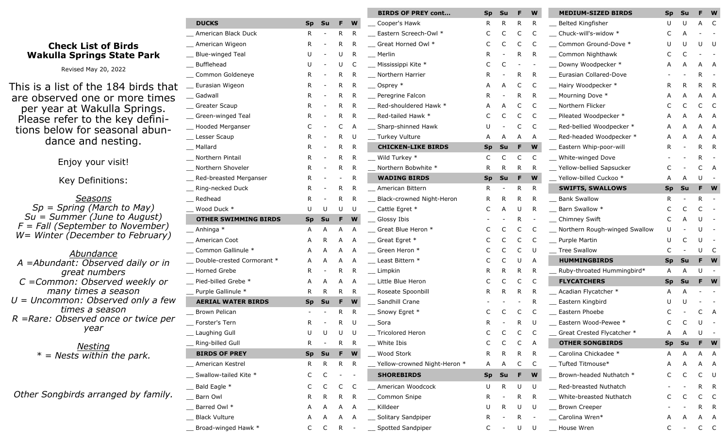## **Check List of Birds Wakulla Springs State Park**

Revised May 20, 2022

This is a list of the 184 birds are observed one or more times per year at Wakulla Spring Please refer to the key definitions below for seasonal ab dance and nesting.

Enjoy your visit!

Key Definitions:

*Seasons Sp = Spring (March to May) Su* = *Summer (June to August)*  $F = Fall (September to Novemb)$ *W*= Winter (December to February)

*Abundance* A =Abundant: Observed daily of *great numbers C* = Common: Observed weekly *many times a season U* = *Uncommon: Observed only a times a season R* = Rare: Observed once or twice *year*

> *Nesting \* = Nests within the park.*

**Other Songbirds arranged by far** 

|                           |                             |           |    |                          |              | <b>BIRDS OF PREY cont</b>        | <b>Sp</b> | Su        |    | W  | <b>MEDIUM-SIZED BIRDS</b>     | <b>Sp</b>    | Su           |   | W  |
|---------------------------|-----------------------------|-----------|----|--------------------------|--------------|----------------------------------|-----------|-----------|----|----|-------------------------------|--------------|--------------|---|----|
|                           | <b>DUCKS</b>                | <b>Sp</b> | Su | F.                       | W            | Cooper's Hawk                    | R         | R         | R  | R  | Belted Kingfisher             | U            | U            |   | C  |
|                           | American Black Duck         | R.        |    | R.                       | R            | Eastern Screech-Owl *            | C         | C         | C  | C  | Chuck-will's-widow *          | C            |              |   |    |
|                           | American Wigeon             | R.        |    | R                        | R            | Great Horned Owl *               |           | C         | C  | C  | Common Ground-Dove *          |              |              |   | U  |
| ۴k.                       | <b>Blue-winged Teal</b>     |           |    | U                        | R            | Merlin                           |           |           | R  | R  | Common Nighthawk              |              |              |   |    |
|                           | <b>Bufflehead</b>           |           |    | U                        | C            | Mississippi Kite *               |           |           |    |    | Downy Woodpecker *            |              |              |   | A  |
|                           | Common Goldeneye            | R.        |    | R                        |              | Northern Harrier                 |           |           | R  | R  | Eurasian Collared-Dove        |              |              |   |    |
| that :                    | Eurasian Wigeon             | R.        |    | $\mathsf{R}$             | R            | Osprey *                         |           |           | C  | C  | Hairy Woodpecker *            | R.           | R            | R | R  |
| mes<br>JS.<br>ini-<br>un- | Gadwall                     | R.        |    | R                        | R            | Peregrine Falcon                 |           |           | R  | R  | __ Mourning Dove *            |              |              |   | Α  |
|                           | Greater Scaup               |           |    | R                        | R            | Red-shouldered Hawk *            |           |           | C  | C  | _ Northern Flicker            |              |              |   | C  |
|                           | Green-winged Teal           | ĸ.        |    | R                        | R            | Red-tailed Hawk *                |           |           | C  | C  | Pileated Woodpecker *         |              |              |   | A  |
|                           | Hooded Merganser            |           |    | С                        | A            | Sharp-shinned Hawk               |           |           | C  | C  | Red-bellied Woodpecker *      |              |              |   |    |
|                           | Lesser Scaup                | R         |    | R                        | U            | _ Turkey Vulture                 |           |           | А  | A  | Red-headed Woodpecker *       | А            |              |   | A  |
|                           | _ Mallard                   |           |    | R                        | $\mathsf{R}$ | <b>CHICKEN-LIKE BIRDS</b>        | <b>Sp</b> | Su        | F  | W  | Eastern Whip-poor-will        |              |              | R | R  |
|                           | Northern Pintail            | к         |    | R                        | R            | Wild Turkey *                    | C         |           | C  | C  | White-winged Dove             |              |              | R |    |
|                           | Northern Shoveler           | R.        |    | R                        | R            | Northern Bobwhite *              | R.        | R.        | R  | -R | _ Yellow-bellied Sapsucker    |              |              | C | Α  |
|                           | Red-breasted Merganser      | R.        |    |                          | R            | <b>WADING BIRDS</b>              | <b>Sp</b> | Su        | F  | W  | Yellow-billed Cuckoo *        |              |              |   |    |
|                           | Ring-necked Duck            | R         |    | R                        | R            | American Bittern                 | R         |           | R  | R  | <b>SWIFTS, SWALLOWS</b>       | <b>Sp</b>    | Su           |   | W  |
| st)<br>der)<br>ary)       | Redhead                     | R         |    | R                        | R            | <b>Black-crowned Night-Heron</b> |           | R         | R  | R  | <b>Bank Swallow</b>           | R            |              | R |    |
|                           | Wood Duck *                 | U         |    | U                        | U            | Cattle Egret *                   |           |           | U  | R  | Barn Swallow *                |              |              |   |    |
|                           | <b>OTHER SWIMMING BIRDS</b> | <b>Sp</b> | Su | F.                       | W            | Glossy Ibis                      |           |           | R  |    | <b>Chimney Swift</b>          |              |              |   |    |
|                           | Anhinga *                   | A         | Α  | Α                        | A            | Great Blue Heron *               |           |           | C  | C  | Northern Rough-winged Swallow |              |              |   |    |
|                           | American Coot               | Α         |    | A                        | A            | $\equiv$ Great Egret $*$         |           |           |    | C  | Purple Martin                 | U            |              |   |    |
|                           | Common Gallinule *          | A         | A  | Α                        | A            | _ Green Heron *                  |           |           | C  | -U | Tree Swallow                  | C            |              |   | C  |
| r in                      | Double-crested Cormorant *  | A         |    |                          |              | Least Bittern *                  |           |           |    | A  | <b>HUMMINGBIRDS</b>           | <b>Sp</b>    | Su           |   | W  |
|                           | Horned Grebe                | R.        |    | R                        | R            | Limpkin                          |           |           | R  | R  | Ruby-throated Hummingbird*    | A            | Α            | U |    |
| r or                      | Pied-billed Grebe *         | Α         |    | А                        | A            | Little Blue Heron                |           |           | C  | C  | <b>FLYCATCHERS</b>            | <b>Sp</b>    | <b>Su</b>    |   | W  |
|                           | Purple Gallinule *          | R.        | R  | R                        | R            | Roseate Spoonbill                |           | R         | R  | R  | Acadian Flycatcher *          | A            | A            |   |    |
| a few                     | <b>AERIAL WATER BIRDS</b>   | <b>Sp</b> | Su | F                        | W            | Sandhill Crane                   |           |           |    | R  | Eastern Kingbird              |              |              |   |    |
|                           | Brown Pelican               |           |    | R                        | R            | Snowy Egret *                    |           |           | C  | C  | Eastern Phoebe                |              |              |   | A  |
| e per                     | Forster's Tern              | R.        |    | R                        |              | Sora                             |           |           |    |    | Eastern Wood-Pewee *          |              |              |   |    |
|                           | Laughing Gull               |           |    |                          |              | _ Tricolored Heron               |           |           |    |    | _ Great Crested Flycatcher *  | $\mathsf{A}$ | $\mathsf{A}$ |   |    |
|                           | Ring-billed Gull            | R.        |    | R.                       | R            | White Ibis                       | C         | C         | C  | Α  | <b>OTHER SONGBIRDS</b>        | <b>Sp</b>    | <b>Su</b>    |   | W  |
|                           | <b>BIRDS OF PREY</b>        | <b>Sp</b> | Su | F.                       | W            | Wood Stork                       | R         | R.        | R  | R. | Carolina Chickadee *          | A            | А            | А | A  |
|                           | American Kestrel            | R.        | R. | R                        | R            | __ Yellow-crowned Night-Heron *  | A         | A         | C  | C  | Tufted Titmouse*              |              |              |   | A  |
|                           | Swallow-tailed Kite *       | C         | C  | $\overline{\phantom{a}}$ | $\sim$       | <b>SHOREBIRDS</b>                | <b>Sp</b> | <b>Su</b> | F. | W  | Brown-headed Nuthatch *       | C            | C            | C | U  |
|                           | _ Bald Eagle *              | C         |    | C                        | C            | American Woodcock                | U         | R.        | U  | U  | Red-breasted Nuthatch         |              |              | R | R. |
| mily.                     | Barn Owl                    | R.        | R  | R                        | R            | Common Snipe                     | R.        |           | R. | R. | White-breasted Nuthatch       | C            |              | C | C  |
|                           | Barred Owl *                | А         | A  | A                        | A            | Killdeer                         | U         | R         | U  | U  | Brown Creeper                 |              |              | R | R. |
|                           | <b>Black Vulture</b>        | A         | A  | A                        | A            | _ Solitary Sandpiper             | R         |           | R. |    | _ Carolina Wren*              | А            |              | A | A  |
|                           | Broad-winged Hawk *         | C         |    | R.                       |              | Spotted Sandpiper                | C         |           | U  | U  | __ House Wren                 | C            |              | C | C  |
|                           |                             |           |    |                          |              |                                  |           |           |    |    |                               |              |              |   |    |